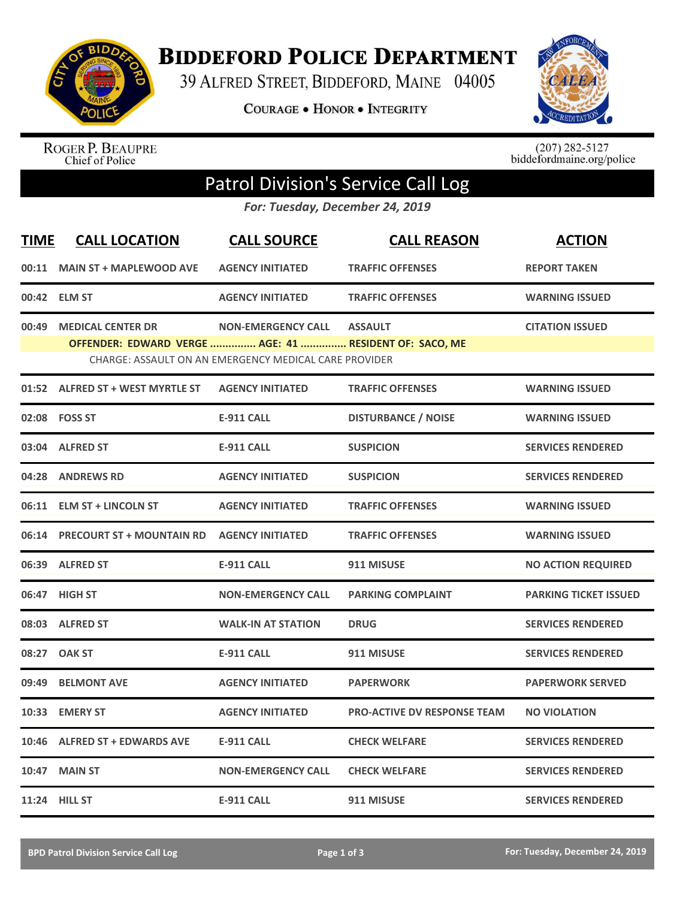

**BIDDEFORD POLICE DEPARTMENT** 

39 ALFRED STREET, BIDDEFORD, MAINE 04005

**COURAGE . HONOR . INTEGRITY** 



ROGER P. BEAUPRE<br>Chief of Police

 $(207)$  282-5127<br>biddefordmaine.org/police

## Patrol Division's Service Call Log

*For: Tuesday, December 24, 2019*

| <b>TIME</b> | <b>CALL LOCATION</b>                                   | <b>CALL SOURCE</b>                                    | <b>CALL REASON</b>                 | <b>ACTION</b>                |
|-------------|--------------------------------------------------------|-------------------------------------------------------|------------------------------------|------------------------------|
| 00:11       | <b>MAIN ST + MAPLEWOOD AVE</b>                         | <b>AGENCY INITIATED</b>                               | <b>TRAFFIC OFFENSES</b>            | <b>REPORT TAKEN</b>          |
|             | 00:42 ELM ST                                           | <b>AGENCY INITIATED</b>                               | <b>TRAFFIC OFFENSES</b>            | <b>WARNING ISSUED</b>        |
| 00:49       | <b>MEDICAL CENTER DR</b>                               | <b>NON-EMERGENCY CALL</b>                             | <b>ASSAULT</b>                     | <b>CITATION ISSUED</b>       |
|             | OFFENDER: EDWARD VERGE  AGE: 41  RESIDENT OF: SACO, ME | CHARGE: ASSAULT ON AN EMERGENCY MEDICAL CARE PROVIDER |                                    |                              |
|             | 01:52 ALFRED ST + WEST MYRTLE ST                       | <b>AGENCY INITIATED</b>                               | <b>TRAFFIC OFFENSES</b>            | <b>WARNING ISSUED</b>        |
| 02:08       | <b>FOSS ST</b>                                         | <b>E-911 CALL</b>                                     | <b>DISTURBANCE / NOISE</b>         | <b>WARNING ISSUED</b>        |
|             | 03:04 ALFRED ST                                        | <b>E-911 CALL</b>                                     | <b>SUSPICION</b>                   | <b>SERVICES RENDERED</b>     |
| 04:28       | <b>ANDREWS RD</b>                                      | <b>AGENCY INITIATED</b>                               | <b>SUSPICION</b>                   | <b>SERVICES RENDERED</b>     |
| 06:11       | <b>ELM ST + LINCOLN ST</b>                             | <b>AGENCY INITIATED</b>                               | <b>TRAFFIC OFFENSES</b>            | <b>WARNING ISSUED</b>        |
| 06:14       | <b>PRECOURT ST + MOUNTAIN RD</b>                       | <b>AGENCY INITIATED</b>                               | <b>TRAFFIC OFFENSES</b>            | <b>WARNING ISSUED</b>        |
| 06:39       | <b>ALFRED ST</b>                                       | <b>E-911 CALL</b>                                     | 911 MISUSE                         | <b>NO ACTION REQUIRED</b>    |
|             | 06:47 HIGH ST                                          | <b>NON-EMERGENCY CALL</b>                             | <b>PARKING COMPLAINT</b>           | <b>PARKING TICKET ISSUED</b> |
|             | 08:03 ALFRED ST                                        | <b>WALK-IN AT STATION</b>                             | <b>DRUG</b>                        | <b>SERVICES RENDERED</b>     |
| 08:27       | <b>OAK ST</b>                                          | <b>E-911 CALL</b>                                     | 911 MISUSE                         | <b>SERVICES RENDERED</b>     |
| 09:49       | <b>BELMONT AVE</b>                                     | <b>AGENCY INITIATED</b>                               | <b>PAPERWORK</b>                   | <b>PAPERWORK SERVED</b>      |
| 10:33       | <b>EMERY ST</b>                                        | <b>AGENCY INITIATED</b>                               | <b>PRO-ACTIVE DV RESPONSE TEAM</b> | <b>NO VIOLATION</b>          |
| 10:46       | <b>ALFRED ST + EDWARDS AVE</b>                         | <b>E-911 CALL</b>                                     | <b>CHECK WELFARE</b>               | <b>SERVICES RENDERED</b>     |
| 10:47       | <b>MAIN ST</b>                                         | <b>NON-EMERGENCY CALL</b>                             | <b>CHECK WELFARE</b>               | <b>SERVICES RENDERED</b>     |
|             | 11:24 HILL ST                                          | <b>E-911 CALL</b>                                     | 911 MISUSE                         | <b>SERVICES RENDERED</b>     |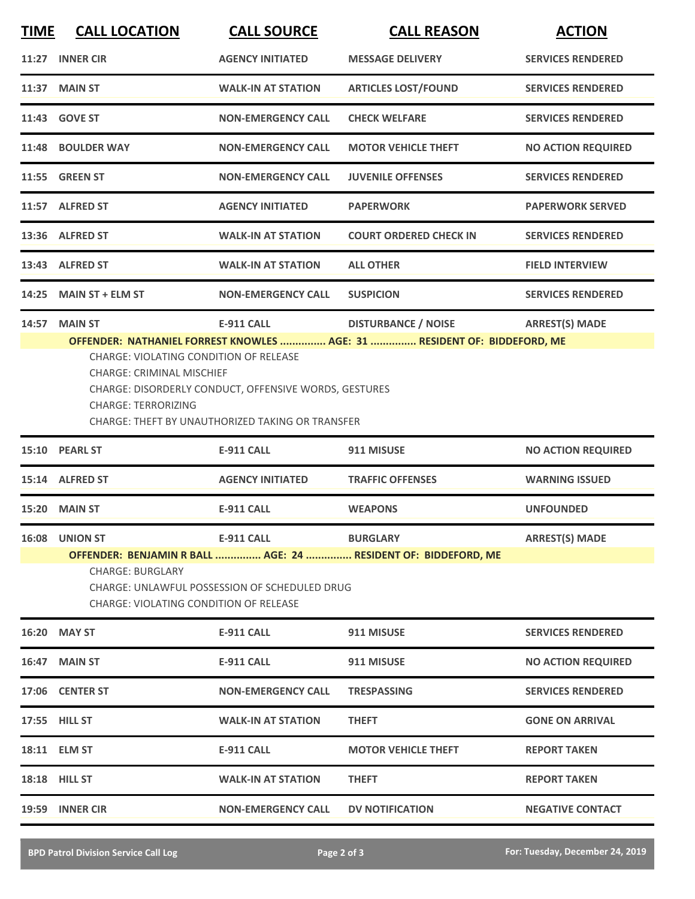| <b>TIME</b> | <b>CALL LOCATION</b>                                                     | <b>CALL SOURCE</b>                                                    | <b>CALL REASON</b>                                             | <b>ACTION</b>             |
|-------------|--------------------------------------------------------------------------|-----------------------------------------------------------------------|----------------------------------------------------------------|---------------------------|
| 11:27       | <b>INNER CIR</b>                                                         | <b>AGENCY INITIATED</b>                                               | <b>MESSAGE DELIVERY</b>                                        | <b>SERVICES RENDERED</b>  |
|             | 11:37 MAIN ST                                                            | <b>WALK-IN AT STATION</b>                                             | <b>ARTICLES LOST/FOUND</b>                                     | <b>SERVICES RENDERED</b>  |
|             | 11:43 GOVE ST                                                            | <b>NON-EMERGENCY CALL</b>                                             | <b>CHECK WELFARE</b>                                           | <b>SERVICES RENDERED</b>  |
|             | 11:48 BOULDER WAY                                                        | <b>NON-EMERGENCY CALL</b>                                             | <b>MOTOR VEHICLE THEFT</b>                                     | <b>NO ACTION REQUIRED</b> |
|             | 11:55 GREEN ST                                                           | <b>NON-EMERGENCY CALL</b>                                             | <b>JUVENILE OFFENSES</b>                                       | <b>SERVICES RENDERED</b>  |
|             | 11:57 ALFRED ST                                                          | <b>AGENCY INITIATED</b>                                               | <b>PAPERWORK</b>                                               | <b>PAPERWORK SERVED</b>   |
|             | 13:36 ALFRED ST                                                          | <b>WALK-IN AT STATION</b>                                             | <b>COURT ORDERED CHECK IN</b>                                  | <b>SERVICES RENDERED</b>  |
| 13:43       | <b>ALFRED ST</b>                                                         | <b>WALK-IN AT STATION</b>                                             | <b>ALL OTHER</b>                                               | <b>FIELD INTERVIEW</b>    |
| 14:25       | <b>MAIN ST + ELM ST</b>                                                  | <b>NON-EMERGENCY CALL</b>                                             | <b>SUSPICION</b>                                               | <b>SERVICES RENDERED</b>  |
| 14:57       | <b>MAIN ST</b>                                                           | <b>E-911 CALL</b>                                                     | <b>DISTURBANCE / NOISE</b>                                     | <b>ARREST(S) MADE</b>     |
| 15:10       | <b>CHARGE: TERRORIZING</b><br><b>PEARL ST</b>                            | CHARGE: THEFT BY UNAUTHORIZED TAKING OR TRANSFER<br><b>E-911 CALL</b> | 911 MISUSE                                                     |                           |
|             |                                                                          |                                                                       |                                                                | <b>NO ACTION REQUIRED</b> |
|             | 15:14 ALFRED ST                                                          | <b>AGENCY INITIATED</b>                                               | <b>TRAFFIC OFFENSES</b>                                        | <b>WARNING ISSUED</b>     |
| 15:20       | <b>MAIN ST</b>                                                           | <b>E-911 CALL</b>                                                     | <b>WEAPONS</b>                                                 | <b>UNFOUNDED</b>          |
|             | 16:08 UNION ST                                                           | <b>E-911 CALL</b>                                                     | <b>BURGLARY</b>                                                | <b>ARREST(S) MADE</b>     |
|             | <b>CHARGE: BURGLARY</b><br><b>CHARGE: VIOLATING CONDITION OF RELEASE</b> | <b>CHARGE: UNLAWFUL POSSESSION OF SCHEDULED DRUG</b>                  | OFFENDER: BENJAMIN R BALL  AGE: 24  RESIDENT OF: BIDDEFORD, ME |                           |
|             | 16:20 MAY ST                                                             | <b>E-911 CALL</b>                                                     | 911 MISUSE                                                     | <b>SERVICES RENDERED</b>  |
|             | 16:47 MAIN ST                                                            | <b>E-911 CALL</b>                                                     | 911 MISUSE                                                     | <b>NO ACTION REQUIRED</b> |
|             | 17:06 CENTER ST                                                          | <b>NON-EMERGENCY CALL</b>                                             | <b>TRESPASSING</b>                                             | <b>SERVICES RENDERED</b>  |
|             | 17:55 HILL ST                                                            | <b>WALK-IN AT STATION</b>                                             | <b>THEFT</b>                                                   | <b>GONE ON ARRIVAL</b>    |
|             | 18:11 ELM ST                                                             | <b>E-911 CALL</b>                                                     | <b>MOTOR VEHICLE THEFT</b>                                     | <b>REPORT TAKEN</b>       |
|             | 18:18 HILL ST                                                            | <b>WALK-IN AT STATION</b>                                             | <b>THEFT</b>                                                   | <b>REPORT TAKEN</b>       |
|             | 19:59 INNER CIR                                                          | <b>NON-EMERGENCY CALL</b>                                             | <b>DV NOTIFICATION</b>                                         | <b>NEGATIVE CONTACT</b>   |
|             |                                                                          |                                                                       |                                                                |                           |